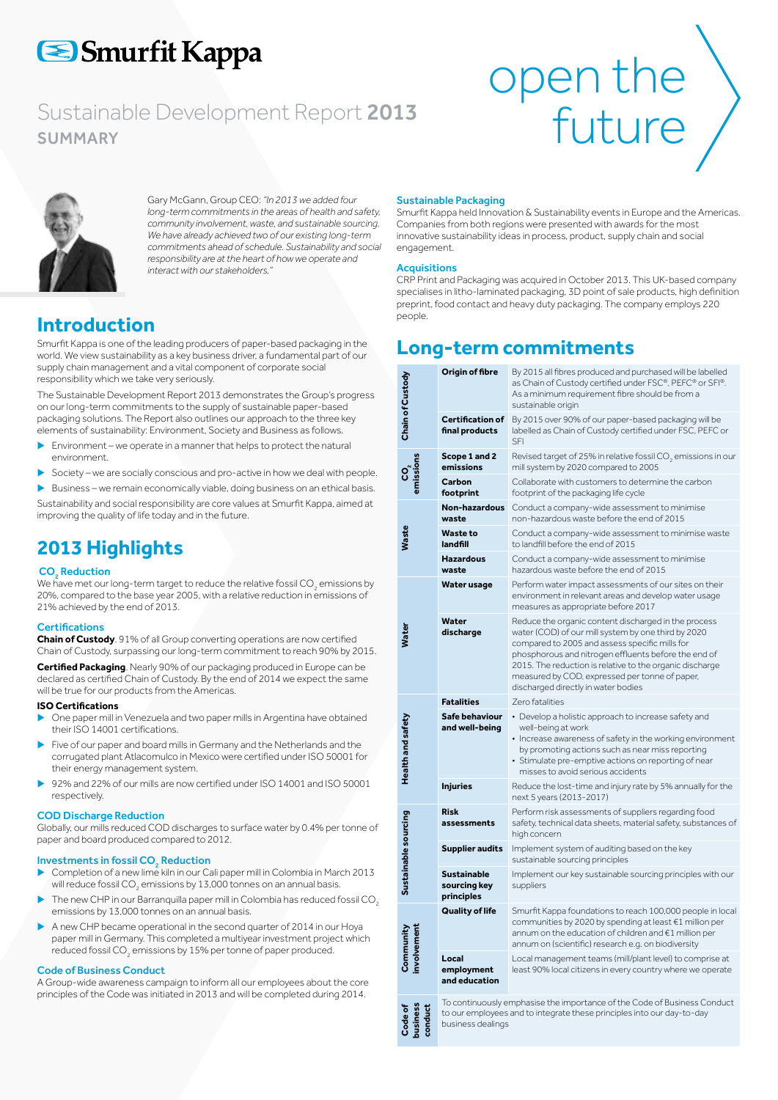# Smurfit Kappa

# Sustainable Development Report 2013<br>SUMMARY<br>TUTULE SUMMARY





Gary McGann, Group CEO: *"In 2013 we added four long-term commitments in the areas of health and safety, community involvement, waste, and sustainable sourcing. We have already achieved two of our existing long-term commitments ahead of schedule. Sustainability and social responsibility are at the heart of how we operate and interact with our stakeholders."* 

## **Introduction**

Smurfit Kappa is one of the leading producers of paper-based packaging in the world. We view sustainability as a key business driver, a fundamental part of our supply chain management and a vital component of corporate social responsibility which we take very seriously.

The Sustainable Development Report 2013 demonstrates the Group's progress on our long-term commitments to the supply of sustainable paper-based packaging solutions. The Report also outlines our approach to the three key elements of sustainability: Environment, Society and Business as follows.

- Environment we operate in a manner that helps to protect the natural environment.
- Society we are socially conscious and pro-active in how we deal with people.
- Business we remain economically viable, doing business on an ethical basis.

Sustainability and social responsibility are core values at Smurfit Kappa, aimed at improving the quality of life today and in the future.

# **2013 Highlights**

### CO<sub>2</sub> Reduction

We have met our long-term target to reduce the relative fossil CO<sub>2</sub> emissions by 20%, compared to the base year 2005, with a relative reduction in emissions of 21% achieved by the end of 2013.

#### **Certifications**

**Chain of Custody**. 91% of all Group converting operations are now certified Chain of Custody, surpassing our long-term commitment to reach 90% by 2015.

**Certified Packaging**. Nearly 90% of our packaging produced in Europe can be declared as certified Chain of Custody. By the end of 2014 we expect the same will be true for our products from the Americas.

#### **ISO Certifications**

- One paper mill in Venezuela and two paper mills in Argentina have obtained their ISO 14001 certifications.
- Five of our paper and board mills in Germany and the Netherlands and the corrugated plant Atlacomulco in Mexico were certified under ISO 50001 for their energy management system.
- 92% and 22% of our mills are now certified under ISO 14001 and ISO 50001 respectively.

#### COD Discharge Reduction

Globally, our mills reduced COD discharges to surface water by 0.4% per tonne of paper and board produced compared to 2012.

### Investments in fossil  $\mathsf{CO}_\mathfrak{z}$  Reduction

- Completion of a new lime kiln in our Cali paper mill in Colombia in March 2013 will reduce fossil CO $_{{}_2}$  emissions by 13,000 tonnes on an annual basis.
- The new CHP in our Barranquilla paper mill in Colombia has reduced fossil CO<sub>2</sub> emissions by 13,000 tonnes on an annual basis.
- A new CHP became operational in the second quarter of 2014 in our Hoya paper mill in Germany. This completed a multiyear investment project which reduced fossil CO $_{\textrm{\tiny{2}}}$  emissions by 15% per tonne of paper produced.

#### Code of Business Conduct

A Group-wide awareness campaign to inform all our employees about the core principles of the Code was initiated in 2013 and will be completed during 2014.

#### Sustainable Packaging

Smurfit Kappa held Innovation & Sustainability events in Europe and the Americas. Companies from both regions were presented with awards for the most innovative sustainability ideas in process, product, supply chain and social engagement.

#### **Acquisitions**

CRP Print and Packaging was acquired in October 2013. This UK-based company specialises in litho-laminated packaging, 3D point of sale products, high definition preprint, food contact and heavy duty packaging. The company employs 220 people.

# **Long-term commitments**

| Chain of Custody              | Origin of fibre                           | By 2015 all fibres produced and purchased will be labelled<br>as Chain of Custody certified under FSC®, PEFC® or SFI®.<br>As a minimum requirement fibre should be from a<br>sustainable origin                                                                                                                                                                            |  |  |  |
|-------------------------------|-------------------------------------------|----------------------------------------------------------------------------------------------------------------------------------------------------------------------------------------------------------------------------------------------------------------------------------------------------------------------------------------------------------------------------|--|--|--|
|                               | <b>Certification of</b><br>final products | By 2015 over 90% of our paper-based packaging will be<br>labelled as Chain of Custody certified under FSC, PEFC or<br>SFI                                                                                                                                                                                                                                                  |  |  |  |
|                               | Scope 1 and 2<br>emissions                | Revised target of 25% in relative fossil CO <sub>2</sub> emissions in our<br>mill system by 2020 compared to 2005                                                                                                                                                                                                                                                          |  |  |  |
|                               | Carbon<br>footprint                       | Collaborate with customers to determine the carbon<br>footprint of the packaging life cycle                                                                                                                                                                                                                                                                                |  |  |  |
| Waste                         | Non-hazardous<br>waste                    | Conduct a company-wide assessment to minimise<br>non-hazardous waste before the end of 2015                                                                                                                                                                                                                                                                                |  |  |  |
|                               | <b>Waste to</b><br>landfill               | Conduct a company-wide assessment to minimise waste<br>to landfill before the end of 2015                                                                                                                                                                                                                                                                                  |  |  |  |
|                               | <b>Hazardous</b><br>waste                 | Conduct a company-wide assessment to minimise<br>hazardous waste before the end of 2015                                                                                                                                                                                                                                                                                    |  |  |  |
| Water                         | Water usage                               | Perform water impact assessments of our sites on their<br>environment in relevant areas and develop water usage<br>measures as appropriate before 2017                                                                                                                                                                                                                     |  |  |  |
|                               | Water<br>discharge                        | Reduce the organic content discharged in the process<br>water (COD) of our mill system by one third by 2020<br>compared to 2005 and assess specific mills for<br>phosphorous and nitrogen effluents before the end of<br>2015. The reduction is relative to the organic discharge<br>measured by COD, expressed per tonne of paper,<br>discharged directly in water bodies |  |  |  |
| Health and safety             | <b>Fatalities</b>                         | Zero fatalities                                                                                                                                                                                                                                                                                                                                                            |  |  |  |
|                               | Safe behaviour<br>and well-being          | • Develop a holistic approach to increase safety and<br>well-being at work<br>• Increase awareness of safety in the working environment<br>by promoting actions such as near miss reporting<br>· Stimulate pre-emptive actions on reporting of near<br>misses to avoid serious accidents                                                                                   |  |  |  |
|                               | <b>Injuries</b>                           | Reduce the lost-time and injury rate by 5% annually for the<br>next 5 years (2013-2017)                                                                                                                                                                                                                                                                                    |  |  |  |
| Sustainable sourcing          | <b>Risk</b><br>assessments                | Perform risk assessments of suppliers regarding food<br>safety, technical data sheets, material safety, substances of<br>high concern                                                                                                                                                                                                                                      |  |  |  |
|                               | <b>Supplier audits</b>                    | Implement system of auditing based on the key<br>sustainable sourcing principles                                                                                                                                                                                                                                                                                           |  |  |  |
|                               | Sustainable<br>sourcing key<br>principles | Implement our key sustainable sourcing principles with our<br>suppliers                                                                                                                                                                                                                                                                                                    |  |  |  |
| involvement<br>Community      | <b>Quality of life</b>                    | Smurfit Kappa foundations to reach 100,000 people in local<br>communities by 2020 by spending at least €1 million per<br>annum on the education of children and €1 million per<br>annum on (scientific) research e.g. on biodiversity                                                                                                                                      |  |  |  |
|                               | Local<br>employment<br>and education      | Local management teams (mill/plant level) to comprise at<br>least 90% local citizens in every country where we operate                                                                                                                                                                                                                                                     |  |  |  |
| conduct<br>pusines<br>Code of | business dealings                         | To continuously emphasise the importance of the Code of Business Conduct<br>to our employees and to integrate these principles into our day-to-day                                                                                                                                                                                                                         |  |  |  |